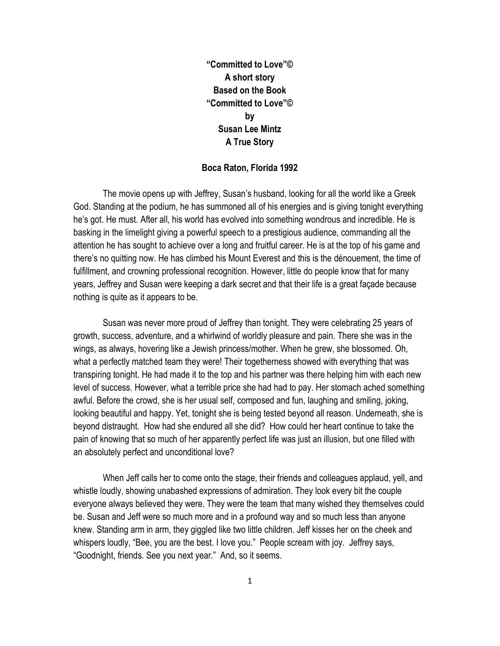"Committed to Love"© A short story Based on the Book "Committed to Love"© by Susan Lee Mintz A True Story

## Boca Raton, Florida 1992

The movie opens up with Jeffrey, Susan's husband, looking for all the world like a Greek God. Standing at the podium, he has summoned all of his energies and is giving tonight everything he's got. He must. After all, his world has evolved into something wondrous and incredible. He is basking in the limelight giving a powerful speech to a prestigious audience, commanding all the attention he has sought to achieve over a long and fruitful career. He is at the top of his game and there's no quitting now. He has climbed his Mount Everest and this is the dénouement, the time of fulfillment, and crowning professional recognition. However, little do people know that for many years, Jeffrey and Susan were keeping a dark secret and that their life is a great façade because nothing is quite as it appears to be.

Susan was never more proud of Jeffrey than tonight. They were celebrating 25 years of growth, success, adventure, and a whirlwind of worldly pleasure and pain. There she was in the wings, as always, hovering like a Jewish princess/mother. When he grew, she blossomed. Oh, what a perfectly matched team they were! Their togetherness showed with everything that was transpiring tonight. He had made it to the top and his partner was there helping him with each new level of success. However, what a terrible price she had had to pay. Her stomach ached something awful. Before the crowd, she is her usual self, composed and fun, laughing and smiling, joking, looking beautiful and happy. Yet, tonight she is being tested beyond all reason. Underneath, she is beyond distraught. How had she endured all she did? How could her heart continue to take the pain of knowing that so much of her apparently perfect life was just an illusion, but one filled with an absolutely perfect and unconditional love?

When Jeff calls her to come onto the stage, their friends and colleagues applaud, yell, and whistle loudly, showing unabashed expressions of admiration. They look every bit the couple everyone always believed they were. They were the team that many wished they themselves could be. Susan and Jeff were so much more and in a profound way and so much less than anyone knew. Standing arm in arm, they giggled like two little children. Jeff kisses her on the cheek and whispers loudly, "Bee, you are the best. I love you." People scream with joy. Jeffrey says, "Goodnight, friends. See you next year." And, so it seems.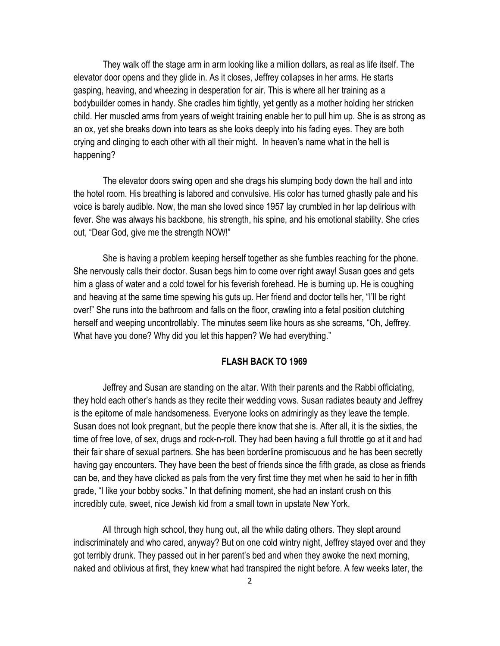They walk off the stage arm in arm looking like a million dollars, as real as life itself. The elevator door opens and they glide in. As it closes, Jeffrey collapses in her arms. He starts gasping, heaving, and wheezing in desperation for air. This is where all her training as a bodybuilder comes in handy. She cradles him tightly, yet gently as a mother holding her stricken child. Her muscled arms from years of weight training enable her to pull him up. She is as strong as an ox, yet she breaks down into tears as she looks deeply into his fading eyes. They are both crying and clinging to each other with all their might. In heaven's name what in the hell is happening?

 The elevator doors swing open and she drags his slumping body down the hall and into the hotel room. His breathing is labored and convulsive. His color has turned ghastly pale and his voice is barely audible. Now, the man she loved since 1957 lay crumbled in her lap delirious with fever. She was always his backbone, his strength, his spine, and his emotional stability. She cries out, "Dear God, give me the strength NOW!"

She is having a problem keeping herself together as she fumbles reaching for the phone. She nervously calls their doctor. Susan begs him to come over right away! Susan goes and gets him a glass of water and a cold towel for his feverish forehead. He is burning up. He is coughing and heaving at the same time spewing his guts up. Her friend and doctor tells her, "I'll be right over!" She runs into the bathroom and falls on the floor, crawling into a fetal position clutching herself and weeping uncontrollably. The minutes seem like hours as she screams, "Oh, Jeffrey. What have you done? Why did you let this happen? We had everything."

## FLASH BACK TO 1969

Jeffrey and Susan are standing on the altar. With their parents and the Rabbi officiating, they hold each other's hands as they recite their wedding vows. Susan radiates beauty and Jeffrey is the epitome of male handsomeness. Everyone looks on admiringly as they leave the temple. Susan does not look pregnant, but the people there know that she is. After all, it is the sixties, the time of free love, of sex, drugs and rock-n-roll. They had been having a full throttle go at it and had their fair share of sexual partners. She has been borderline promiscuous and he has been secretly having gay encounters. They have been the best of friends since the fifth grade, as close as friends can be, and they have clicked as pals from the very first time they met when he said to her in fifth grade, "I like your bobby socks." In that defining moment, she had an instant crush on this incredibly cute, sweet, nice Jewish kid from a small town in upstate New York.

 All through high school, they hung out, all the while dating others. They slept around indiscriminately and who cared, anyway? But on one cold wintry night, Jeffrey stayed over and they got terribly drunk. They passed out in her parent's bed and when they awoke the next morning, naked and oblivious at first, they knew what had transpired the night before. A few weeks later, the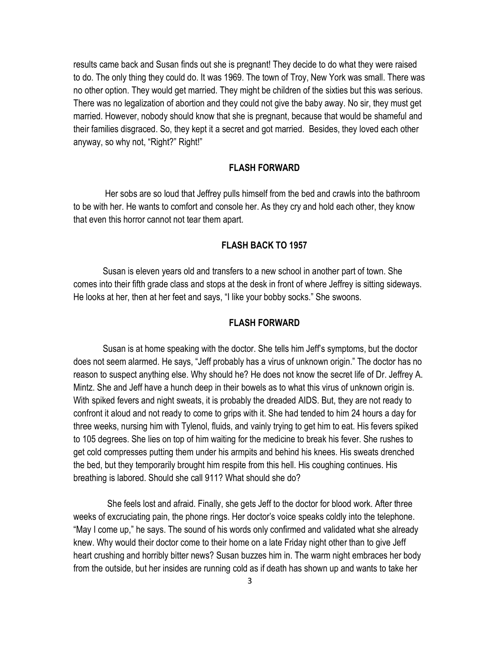results came back and Susan finds out she is pregnant! They decide to do what they were raised to do. The only thing they could do. It was 1969. The town of Troy, New York was small. There was no other option. They would get married. They might be children of the sixties but this was serious. There was no legalization of abortion and they could not give the baby away. No sir, they must get married. However, nobody should know that she is pregnant, because that would be shameful and their families disgraced. So, they kept it a secret and got married. Besides, they loved each other anyway, so why not, "Right?" Right!"

# FLASH FORWARD

Her sobs are so loud that Jeffrey pulls himself from the bed and crawls into the bathroom to be with her. He wants to comfort and console her. As they cry and hold each other, they know that even this horror cannot not tear them apart.

## FLASH BACK TO 1957

Susan is eleven years old and transfers to a new school in another part of town. She comes into their fifth grade class and stops at the desk in front of where Jeffrey is sitting sideways. He looks at her, then at her feet and says, "I like your bobby socks." She swoons.

# FLASH FORWARD

Susan is at home speaking with the doctor. She tells him Jeff's symptoms, but the doctor does not seem alarmed. He says, "Jeff probably has a virus of unknown origin." The doctor has no reason to suspect anything else. Why should he? He does not know the secret life of Dr. Jeffrey A. Mintz. She and Jeff have a hunch deep in their bowels as to what this virus of unknown origin is. With spiked fevers and night sweats, it is probably the dreaded AIDS. But, they are not ready to confront it aloud and not ready to come to grips with it. She had tended to him 24 hours a day for three weeks, nursing him with Tylenol, fluids, and vainly trying to get him to eat. His fevers spiked to 105 degrees. She lies on top of him waiting for the medicine to break his fever. She rushes to get cold compresses putting them under his armpits and behind his knees. His sweats drenched the bed, but they temporarily brought him respite from this hell. His coughing continues. His breathing is labored. Should she call 911? What should she do?

 She feels lost and afraid. Finally, she gets Jeff to the doctor for blood work. After three weeks of excruciating pain, the phone rings. Her doctor's voice speaks coldly into the telephone. "May I come up," he says. The sound of his words only confirmed and validated what she already knew. Why would their doctor come to their home on a late Friday night other than to give Jeff heart crushing and horribly bitter news? Susan buzzes him in. The warm night embraces her body from the outside, but her insides are running cold as if death has shown up and wants to take her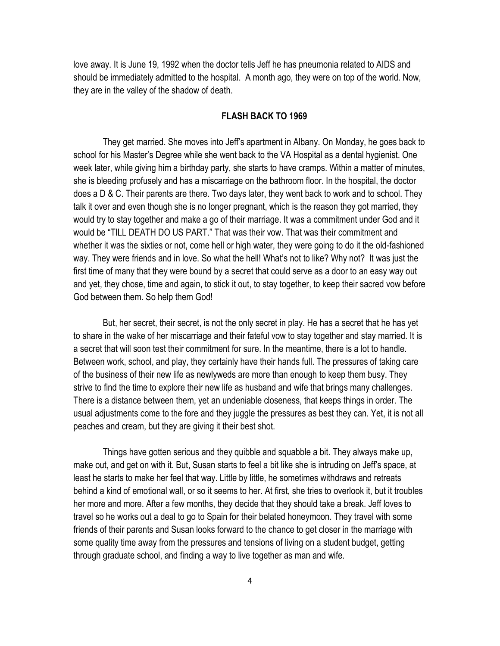love away. It is June 19, 1992 when the doctor tells Jeff he has pneumonia related to AIDS and should be immediately admitted to the hospital. A month ago, they were on top of the world. Now, they are in the valley of the shadow of death.

# FLASH BACK TO 1969

They get married. She moves into Jeff's apartment in Albany. On Monday, he goes back to school for his Master's Degree while she went back to the VA Hospital as a dental hygienist. One week later, while giving him a birthday party, she starts to have cramps. Within a matter of minutes, she is bleeding profusely and has a miscarriage on the bathroom floor. In the hospital, the doctor does a D & C. Their parents are there. Two days later, they went back to work and to school. They talk it over and even though she is no longer pregnant, which is the reason they got married, they would try to stay together and make a go of their marriage. It was a commitment under God and it would be "TILL DEATH DO US PART." That was their vow. That was their commitment and whether it was the sixties or not, come hell or high water, they were going to do it the old-fashioned way. They were friends and in love. So what the hell! What's not to like? Why not? It was just the first time of many that they were bound by a secret that could serve as a door to an easy way out and yet, they chose, time and again, to stick it out, to stay together, to keep their sacred vow before God between them. So help them God!

But, her secret, their secret, is not the only secret in play. He has a secret that he has yet to share in the wake of her miscarriage and their fateful vow to stay together and stay married. It is a secret that will soon test their commitment for sure. In the meantime, there is a lot to handle. Between work, school, and play, they certainly have their hands full. The pressures of taking care of the business of their new life as newlyweds are more than enough to keep them busy. They strive to find the time to explore their new life as husband and wife that brings many challenges. There is a distance between them, yet an undeniable closeness, that keeps things in order. The usual adjustments come to the fore and they juggle the pressures as best they can. Yet, it is not all peaches and cream, but they are giving it their best shot.

Things have gotten serious and they quibble and squabble a bit. They always make up, make out, and get on with it. But, Susan starts to feel a bit like she is intruding on Jeff's space, at least he starts to make her feel that way. Little by little, he sometimes withdraws and retreats behind a kind of emotional wall, or so it seems to her. At first, she tries to overlook it, but it troubles her more and more. After a few months, they decide that they should take a break. Jeff loves to travel so he works out a deal to go to Spain for their belated honeymoon. They travel with some friends of their parents and Susan looks forward to the chance to get closer in the marriage with some quality time away from the pressures and tensions of living on a student budget, getting through graduate school, and finding a way to live together as man and wife.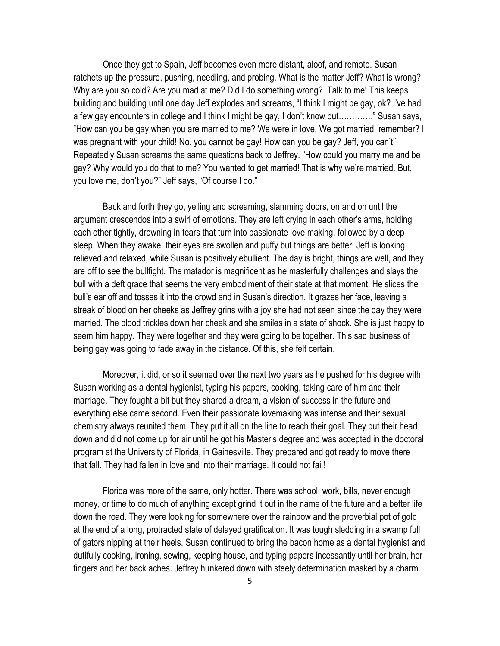Once they get to Spain, Jeff becomes even more distant, aloof, and remote. Susan ratchets up the pressure, pushing, needling, and probing. What is the matter Jeff? What is wrong? Why are you so cold? Are you mad at me? Did I do something wrong? Talk to me! This keeps building and building until one day Jeff explodes and screams, "I think I might be gay, ok? I've had a few gay encounters in college and I think I might be gay, I don't know but…………." Susan says, "How can you be gay when you are married to me? We were in love. We got married, remember? I was pregnant with your child! No, you cannot be gay! How can you be gay? Jeff, you can't!" Repeatedly Susan screams the same questions back to Jeffrey. "How could you marry me and be gay? Why would you do that to me? You wanted to get married! That is why we're married. But, you love me, don't you?" Jeff says, "Of course I do."

Back and forth they go, yelling and screaming, slamming doors, on and on until the argument crescendos into a swirl of emotions. They are left crying in each other's arms, holding each other tightly, drowning in tears that turn into passionate love making, followed by a deep sleep. When they awake, their eyes are swollen and puffy but things are better. Jeff is looking relieved and relaxed, while Susan is positively ebullient. The day is bright, things are well, and they are off to see the bullfight. The matador is magnificent as he masterfully challenges and slays the bull with a deft grace that seems the very embodiment of their state at that moment. He slices the bull's ear off and tosses it into the crowd and in Susan's direction. It grazes her face, leaving a streak of blood on her cheeks as Jeffrey grins with a joy she had not seen since the day they were married. The blood trickles down her cheek and she smiles in a state of shock. She is just happy to seem him happy. They were together and they were going to be together. This sad business of being gay was going to fade away in the distance. Of this, she felt certain.

Moreover, it did, or so it seemed over the next two years as he pushed for his degree with Susan working as a dental hygienist, typing his papers, cooking, taking care of him and their marriage. They fought a bit but they shared a dream, a vision of success in the future and everything else came second. Even their passionate lovemaking was intense and their sexual chemistry always reunited them. They put it all on the line to reach their goal. They put their head down and did not come up for air until he got his Master's degree and was accepted in the doctoral program at the University of Florida, in Gainesville. They prepared and got ready to move there that fall. They had fallen in love and into their marriage. It could not fail!

Florida was more of the same, only hotter. There was school, work, bills, never enough money, or time to do much of anything except grind it out in the name of the future and a better life down the road. They were looking for somewhere over the rainbow and the proverbial pot of gold at the end of a long, protracted state of delayed gratification. It was tough sledding in a swamp full of gators nipping at their heels. Susan continued to bring the bacon home as a dental hygienist and dutifully cooking, ironing, sewing, keeping house, and typing papers incessantly until her brain, her fingers and her back aches. Jeffrey hunkered down with steely determination masked by a charm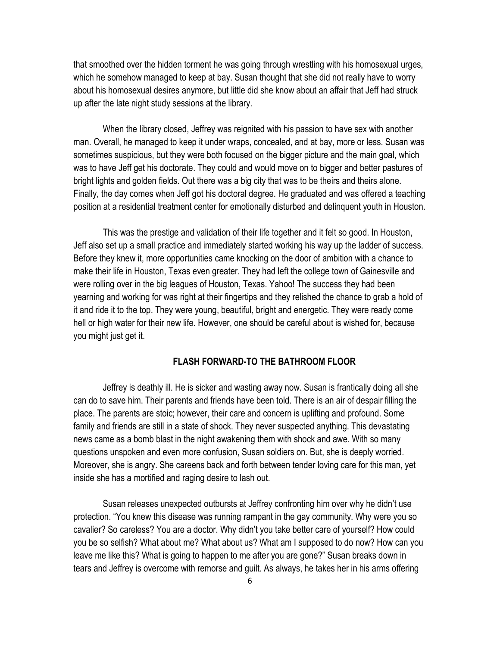that smoothed over the hidden torment he was going through wrestling with his homosexual urges, which he somehow managed to keep at bay. Susan thought that she did not really have to worry about his homosexual desires anymore, but little did she know about an affair that Jeff had struck up after the late night study sessions at the library.

When the library closed, Jeffrey was reignited with his passion to have sex with another man. Overall, he managed to keep it under wraps, concealed, and at bay, more or less. Susan was sometimes suspicious, but they were both focused on the bigger picture and the main goal, which was to have Jeff get his doctorate. They could and would move on to bigger and better pastures of bright lights and golden fields. Out there was a big city that was to be theirs and theirs alone. Finally, the day comes when Jeff got his doctoral degree. He graduated and was offered a teaching position at a residential treatment center for emotionally disturbed and delinquent youth in Houston.

This was the prestige and validation of their life together and it felt so good. In Houston, Jeff also set up a small practice and immediately started working his way up the ladder of success. Before they knew it, more opportunities came knocking on the door of ambition with a chance to make their life in Houston, Texas even greater. They had left the college town of Gainesville and were rolling over in the big leagues of Houston, Texas. Yahoo! The success they had been yearning and working for was right at their fingertips and they relished the chance to grab a hold of it and ride it to the top. They were young, beautiful, bright and energetic. They were ready come hell or high water for their new life. However, one should be careful about is wished for, because you might just get it.

#### FLASH FORWARD-TO THE BATHROOM FLOOR

Jeffrey is deathly ill. He is sicker and wasting away now. Susan is frantically doing all she can do to save him. Their parents and friends have been told. There is an air of despair filling the place. The parents are stoic; however, their care and concern is uplifting and profound. Some family and friends are still in a state of shock. They never suspected anything. This devastating news came as a bomb blast in the night awakening them with shock and awe. With so many questions unspoken and even more confusion, Susan soldiers on. But, she is deeply worried. Moreover, she is angry. She careens back and forth between tender loving care for this man, yet inside she has a mortified and raging desire to lash out.

Susan releases unexpected outbursts at Jeffrey confronting him over why he didn't use protection. "You knew this disease was running rampant in the gay community. Why were you so cavalier? So careless? You are a doctor. Why didn't you take better care of yourself? How could you be so selfish? What about me? What about us? What am I supposed to do now? How can you leave me like this? What is going to happen to me after you are gone?" Susan breaks down in tears and Jeffrey is overcome with remorse and guilt. As always, he takes her in his arms offering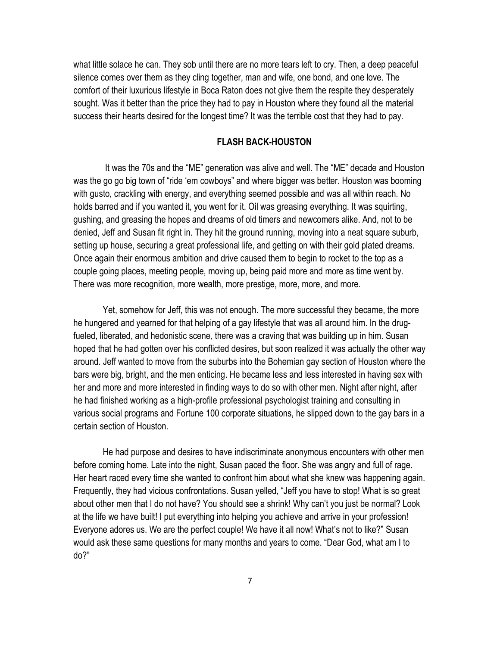what little solace he can. They sob until there are no more tears left to cry. Then, a deep peaceful silence comes over them as they cling together, man and wife, one bond, and one love. The comfort of their luxurious lifestyle in Boca Raton does not give them the respite they desperately sought. Was it better than the price they had to pay in Houston where they found all the material success their hearts desired for the longest time? It was the terrible cost that they had to pay.

## FLASH BACK-HOUSTON

 It was the 70s and the "ME" generation was alive and well. The "ME" decade and Houston was the go go big town of "ride 'em cowboys" and where bigger was better. Houston was booming with gusto, crackling with energy, and everything seemed possible and was all within reach. No holds barred and if you wanted it, you went for it. Oil was greasing everything. It was squirting, gushing, and greasing the hopes and dreams of old timers and newcomers alike. And, not to be denied, Jeff and Susan fit right in. They hit the ground running, moving into a neat square suburb, setting up house, securing a great professional life, and getting on with their gold plated dreams. Once again their enormous ambition and drive caused them to begin to rocket to the top as a couple going places, meeting people, moving up, being paid more and more as time went by. There was more recognition, more wealth, more prestige, more, more, and more.

Yet, somehow for Jeff, this was not enough. The more successful they became, the more he hungered and yearned for that helping of a gay lifestyle that was all around him. In the drugfueled, liberated, and hedonistic scene, there was a craving that was building up in him. Susan hoped that he had gotten over his conflicted desires, but soon realized it was actually the other way around. Jeff wanted to move from the suburbs into the Bohemian gay section of Houston where the bars were big, bright, and the men enticing. He became less and less interested in having sex with her and more and more interested in finding ways to do so with other men. Night after night, after he had finished working as a high-profile professional psychologist training and consulting in various social programs and Fortune 100 corporate situations, he slipped down to the gay bars in a certain section of Houston.

He had purpose and desires to have indiscriminate anonymous encounters with other men before coming home. Late into the night, Susan paced the floor. She was angry and full of rage. Her heart raced every time she wanted to confront him about what she knew was happening again. Frequently, they had vicious confrontations. Susan yelled, "Jeff you have to stop! What is so great about other men that I do not have? You should see a shrink! Why can't you just be normal? Look at the life we have built! I put everything into helping you achieve and arrive in your profession! Everyone adores us. We are the perfect couple! We have it all now! What's not to like?" Susan would ask these same questions for many months and years to come. "Dear God, what am I to do?"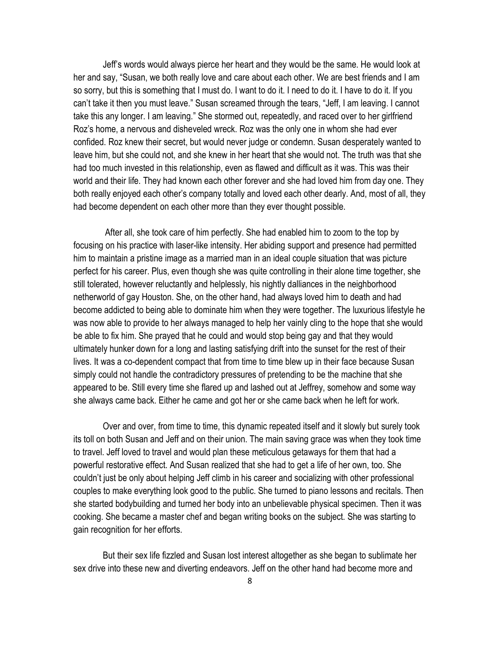Jeff's words would always pierce her heart and they would be the same. He would look at her and say, "Susan, we both really love and care about each other. We are best friends and I am so sorry, but this is something that I must do. I want to do it. I need to do it. I have to do it. If you can't take it then you must leave." Susan screamed through the tears, "Jeff, I am leaving. I cannot take this any longer. I am leaving." She stormed out, repeatedly, and raced over to her girlfriend Roz's home, a nervous and disheveled wreck. Roz was the only one in whom she had ever confided. Roz knew their secret, but would never judge or condemn. Susan desperately wanted to leave him, but she could not, and she knew in her heart that she would not. The truth was that she had too much invested in this relationship, even as flawed and difficult as it was. This was their world and their life. They had known each other forever and she had loved him from day one. They both really enjoyed each other's company totally and loved each other dearly. And, most of all, they had become dependent on each other more than they ever thought possible.

 After all, she took care of him perfectly. She had enabled him to zoom to the top by focusing on his practice with laser-like intensity. Her abiding support and presence had permitted him to maintain a pristine image as a married man in an ideal couple situation that was picture perfect for his career. Plus, even though she was quite controlling in their alone time together, she still tolerated, however reluctantly and helplessly, his nightly dalliances in the neighborhood netherworld of gay Houston. She, on the other hand, had always loved him to death and had become addicted to being able to dominate him when they were together. The luxurious lifestyle he was now able to provide to her always managed to help her vainly cling to the hope that she would be able to fix him. She prayed that he could and would stop being gay and that they would ultimately hunker down for a long and lasting satisfying drift into the sunset for the rest of their lives. It was a co-dependent compact that from time to time blew up in their face because Susan simply could not handle the contradictory pressures of pretending to be the machine that she appeared to be. Still every time she flared up and lashed out at Jeffrey, somehow and some way she always came back. Either he came and got her or she came back when he left for work.

Over and over, from time to time, this dynamic repeated itself and it slowly but surely took its toll on both Susan and Jeff and on their union. The main saving grace was when they took time to travel. Jeff loved to travel and would plan these meticulous getaways for them that had a powerful restorative effect. And Susan realized that she had to get a life of her own, too. She couldn't just be only about helping Jeff climb in his career and socializing with other professional couples to make everything look good to the public. She turned to piano lessons and recitals. Then she started bodybuilding and turned her body into an unbelievable physical specimen. Then it was cooking. She became a master chef and began writing books on the subject. She was starting to gain recognition for her efforts.

But their sex life fizzled and Susan lost interest altogether as she began to sublimate her sex drive into these new and diverting endeavors. Jeff on the other hand had become more and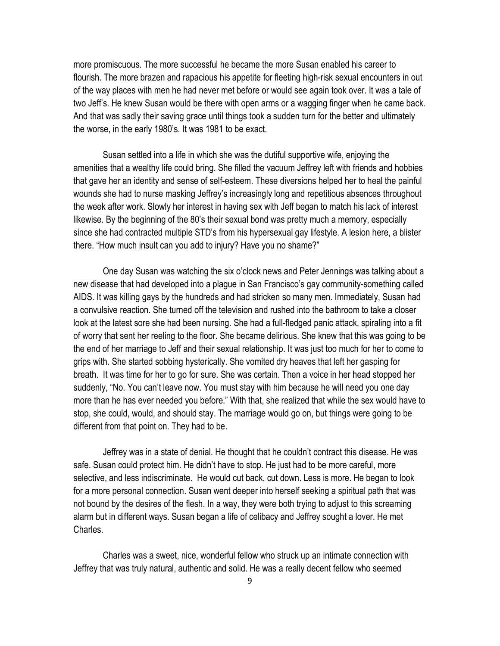more promiscuous. The more successful he became the more Susan enabled his career to flourish. The more brazen and rapacious his appetite for fleeting high-risk sexual encounters in out of the way places with men he had never met before or would see again took over. It was a tale of two Jeff's. He knew Susan would be there with open arms or a wagging finger when he came back. And that was sadly their saving grace until things took a sudden turn for the better and ultimately the worse, in the early 1980's. It was 1981 to be exact.

Susan settled into a life in which she was the dutiful supportive wife, enjoying the amenities that a wealthy life could bring. She filled the vacuum Jeffrey left with friends and hobbies that gave her an identity and sense of self-esteem. These diversions helped her to heal the painful wounds she had to nurse masking Jeffrey's increasingly long and repetitious absences throughout the week after work. Slowly her interest in having sex with Jeff began to match his lack of interest likewise. By the beginning of the 80's their sexual bond was pretty much a memory, especially since she had contracted multiple STD's from his hypersexual gay lifestyle. A lesion here, a blister there. "How much insult can you add to injury? Have you no shame?"

One day Susan was watching the six o'clock news and Peter Jennings was talking about a new disease that had developed into a plague in San Francisco's gay community-something called AIDS. It was killing gays by the hundreds and had stricken so many men. Immediately, Susan had a convulsive reaction. She turned off the television and rushed into the bathroom to take a closer look at the latest sore she had been nursing. She had a full-fledged panic attack, spiraling into a fit of worry that sent her reeling to the floor. She became delirious. She knew that this was going to be the end of her marriage to Jeff and their sexual relationship. It was just too much for her to come to grips with. She started sobbing hysterically. She vomited dry heaves that left her gasping for breath. It was time for her to go for sure. She was certain. Then a voice in her head stopped her suddenly, "No. You can't leave now. You must stay with him because he will need you one day more than he has ever needed you before." With that, she realized that while the sex would have to stop, she could, would, and should stay. The marriage would go on, but things were going to be different from that point on. They had to be.

Jeffrey was in a state of denial. He thought that he couldn't contract this disease. He was safe. Susan could protect him. He didn't have to stop. He just had to be more careful, more selective, and less indiscriminate. He would cut back, cut down. Less is more. He began to look for a more personal connection. Susan went deeper into herself seeking a spiritual path that was not bound by the desires of the flesh. In a way, they were both trying to adjust to this screaming alarm but in different ways. Susan began a life of celibacy and Jeffrey sought a lover. He met Charles.

Charles was a sweet, nice, wonderful fellow who struck up an intimate connection with Jeffrey that was truly natural, authentic and solid. He was a really decent fellow who seemed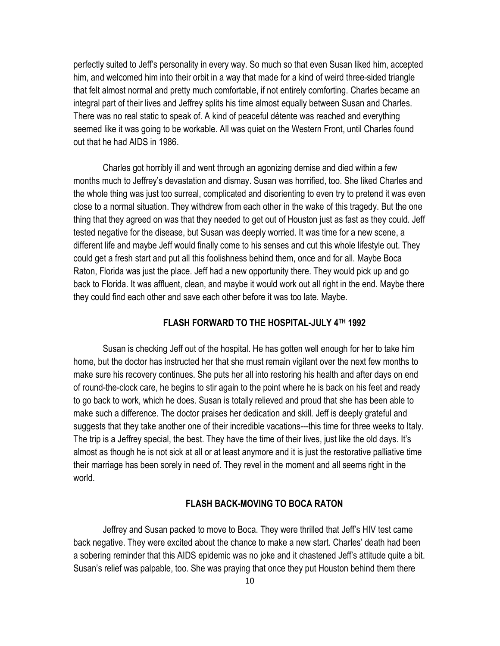perfectly suited to Jeff's personality in every way. So much so that even Susan liked him, accepted him, and welcomed him into their orbit in a way that made for a kind of weird three-sided triangle that felt almost normal and pretty much comfortable, if not entirely comforting. Charles became an integral part of their lives and Jeffrey splits his time almost equally between Susan and Charles. There was no real static to speak of. A kind of peaceful détente was reached and everything seemed like it was going to be workable. All was quiet on the Western Front, until Charles found out that he had AIDS in 1986.

Charles got horribly ill and went through an agonizing demise and died within a few months much to Jeffrey's devastation and dismay. Susan was horrified, too. She liked Charles and the whole thing was just too surreal, complicated and disorienting to even try to pretend it was even close to a normal situation. They withdrew from each other in the wake of this tragedy. But the one thing that they agreed on was that they needed to get out of Houston just as fast as they could. Jeff tested negative for the disease, but Susan was deeply worried. It was time for a new scene, a different life and maybe Jeff would finally come to his senses and cut this whole lifestyle out. They could get a fresh start and put all this foolishness behind them, once and for all. Maybe Boca Raton, Florida was just the place. Jeff had a new opportunity there. They would pick up and go back to Florida. It was affluent, clean, and maybe it would work out all right in the end. Maybe there they could find each other and save each other before it was too late. Maybe.

# FLASH FORWARD TO THE HOSPITAL-JULY 4TH 1992

Susan is checking Jeff out of the hospital. He has gotten well enough for her to take him home, but the doctor has instructed her that she must remain vigilant over the next few months to make sure his recovery continues. She puts her all into restoring his health and after days on end of round-the-clock care, he begins to stir again to the point where he is back on his feet and ready to go back to work, which he does. Susan is totally relieved and proud that she has been able to make such a difference. The doctor praises her dedication and skill. Jeff is deeply grateful and suggests that they take another one of their incredible vacations---this time for three weeks to Italy. The trip is a Jeffrey special, the best. They have the time of their lives, just like the old days. It's almost as though he is not sick at all or at least anymore and it is just the restorative palliative time their marriage has been sorely in need of. They revel in the moment and all seems right in the world.

# FLASH BACK-MOVING TO BOCA RATON

Jeffrey and Susan packed to move to Boca. They were thrilled that Jeff's HIV test came back negative. They were excited about the chance to make a new start. Charles' death had been a sobering reminder that this AIDS epidemic was no joke and it chastened Jeff's attitude quite a bit. Susan's relief was palpable, too. She was praying that once they put Houston behind them there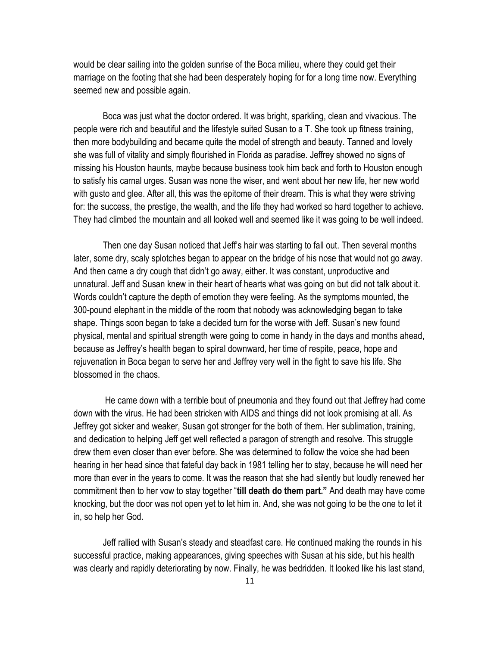would be clear sailing into the golden sunrise of the Boca milieu, where they could get their marriage on the footing that she had been desperately hoping for for a long time now. Everything seemed new and possible again.

Boca was just what the doctor ordered. It was bright, sparkling, clean and vivacious. The people were rich and beautiful and the lifestyle suited Susan to a T. She took up fitness training, then more bodybuilding and became quite the model of strength and beauty. Tanned and lovely she was full of vitality and simply flourished in Florida as paradise. Jeffrey showed no signs of missing his Houston haunts, maybe because business took him back and forth to Houston enough to satisfy his carnal urges. Susan was none the wiser, and went about her new life, her new world with gusto and glee. After all, this was the epitome of their dream. This is what they were striving for: the success, the prestige, the wealth, and the life they had worked so hard together to achieve. They had climbed the mountain and all looked well and seemed like it was going to be well indeed.

Then one day Susan noticed that Jeff's hair was starting to fall out. Then several months later, some dry, scaly splotches began to appear on the bridge of his nose that would not go away. And then came a dry cough that didn't go away, either. It was constant, unproductive and unnatural. Jeff and Susan knew in their heart of hearts what was going on but did not talk about it. Words couldn't capture the depth of emotion they were feeling. As the symptoms mounted, the 300-pound elephant in the middle of the room that nobody was acknowledging began to take shape. Things soon began to take a decided turn for the worse with Jeff. Susan's new found physical, mental and spiritual strength were going to come in handy in the days and months ahead, because as Jeffrey's health began to spiral downward, her time of respite, peace, hope and rejuvenation in Boca began to serve her and Jeffrey very well in the fight to save his life. She blossomed in the chaos.

 He came down with a terrible bout of pneumonia and they found out that Jeffrey had come down with the virus. He had been stricken with AIDS and things did not look promising at all. As Jeffrey got sicker and weaker, Susan got stronger for the both of them. Her sublimation, training, and dedication to helping Jeff get well reflected a paragon of strength and resolve. This struggle drew them even closer than ever before. She was determined to follow the voice she had been hearing in her head since that fateful day back in 1981 telling her to stay, because he will need her more than ever in the years to come. It was the reason that she had silently but loudly renewed her commitment then to her vow to stay together "till death do them part." And death may have come knocking, but the door was not open yet to let him in. And, she was not going to be the one to let it in, so help her God.

Jeff rallied with Susan's steady and steadfast care. He continued making the rounds in his successful practice, making appearances, giving speeches with Susan at his side, but his health was clearly and rapidly deteriorating by now. Finally, he was bedridden. It looked like his last stand,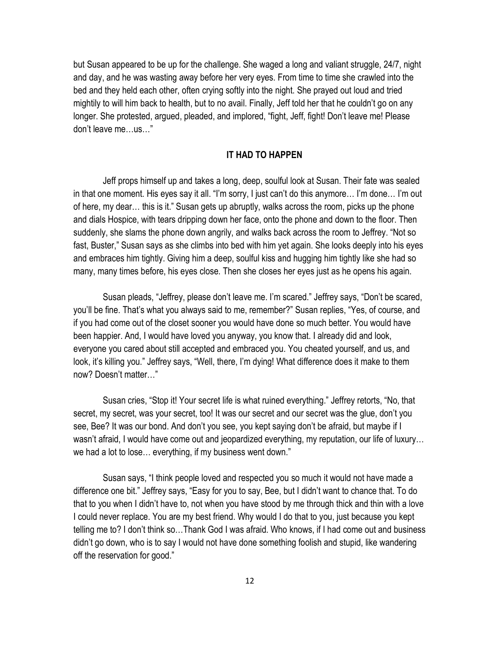but Susan appeared to be up for the challenge. She waged a long and valiant struggle, 24/7, night and day, and he was wasting away before her very eyes. From time to time she crawled into the bed and they held each other, often crying softly into the night. She prayed out loud and tried mightily to will him back to health, but to no avail. Finally, Jeff told her that he couldn't go on any longer. She protested, argued, pleaded, and implored, "fight, Jeff, fight! Don't leave me! Please don't leave me…us…"

### IT HAD TO HAPPEN

Jeff props himself up and takes a long, deep, soulful look at Susan. Their fate was sealed in that one moment. His eyes say it all. "I'm sorry, I just can't do this anymore… I'm done… I'm out of here, my dear… this is it." Susan gets up abruptly, walks across the room, picks up the phone and dials Hospice, with tears dripping down her face, onto the phone and down to the floor. Then suddenly, she slams the phone down angrily, and walks back across the room to Jeffrey. "Not so fast, Buster," Susan says as she climbs into bed with him yet again. She looks deeply into his eyes and embraces him tightly. Giving him a deep, soulful kiss and hugging him tightly like she had so many, many times before, his eyes close. Then she closes her eyes just as he opens his again.

Susan pleads, "Jeffrey, please don't leave me. I'm scared." Jeffrey says, "Don't be scared, you'll be fine. That's what you always said to me, remember?" Susan replies, "Yes, of course, and if you had come out of the closet sooner you would have done so much better. You would have been happier. And, I would have loved you anyway, you know that. I already did and look, everyone you cared about still accepted and embraced you. You cheated yourself, and us, and look, it's killing you." Jeffrey says, "Well, there, I'm dying! What difference does it make to them now? Doesn't matter…"

Susan cries, "Stop it! Your secret life is what ruined everything." Jeffrey retorts, "No, that secret, my secret, was your secret, too! It was our secret and our secret was the glue, don't you see, Bee? It was our bond. And don't you see, you kept saying don't be afraid, but maybe if I wasn't afraid, I would have come out and jeopardized everything, my reputation, our life of luxury… we had a lot to lose… everything, if my business went down."

Susan says, "I think people loved and respected you so much it would not have made a difference one bit." Jeffrey says, "Easy for you to say, Bee, but I didn't want to chance that. To do that to you when I didn't have to, not when you have stood by me through thick and thin with a love I could never replace. You are my best friend. Why would I do that to you, just because you kept telling me to? I don't think so…Thank God I was afraid. Who knows, if I had come out and business didn't go down, who is to say I would not have done something foolish and stupid, like wandering off the reservation for good."